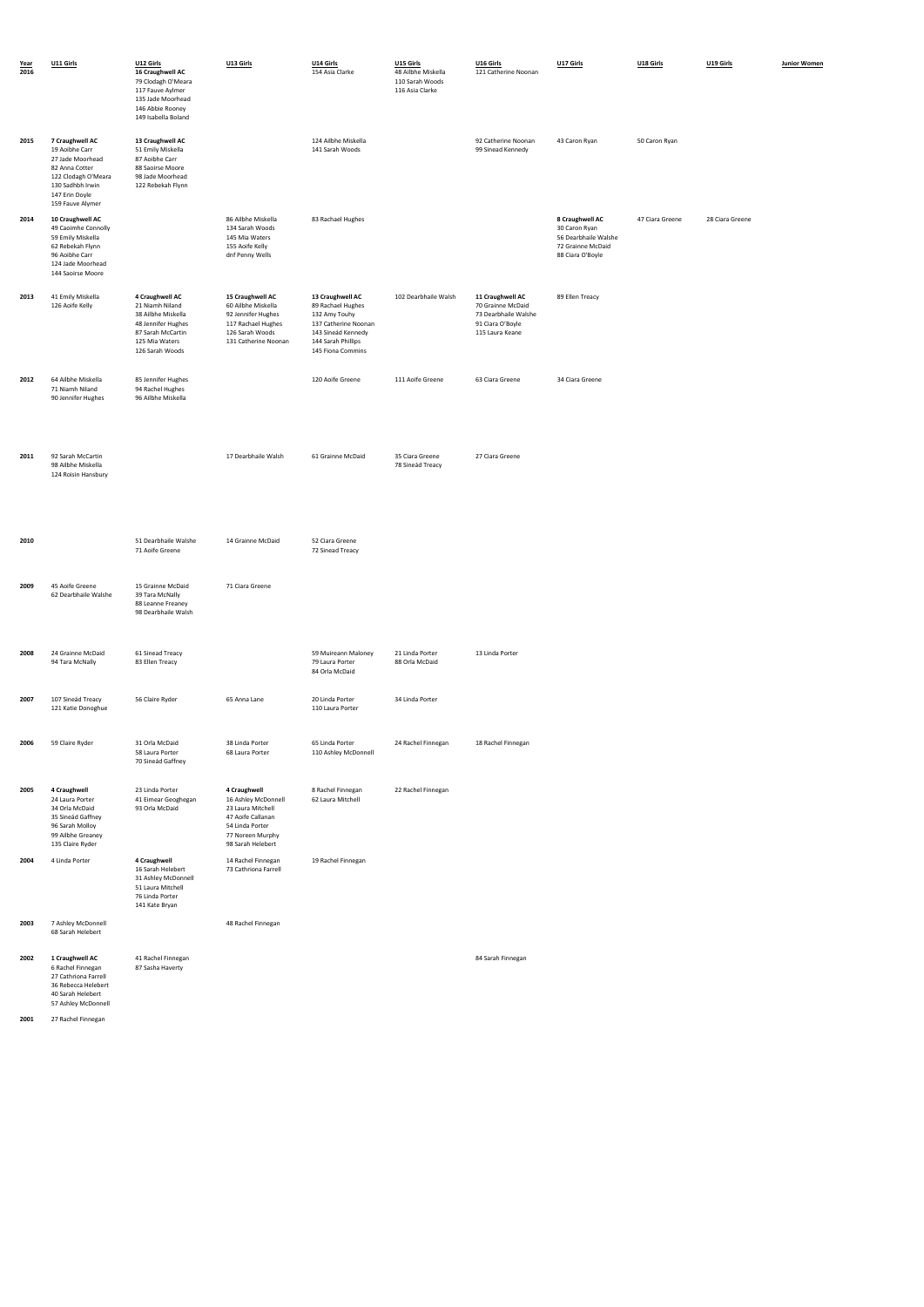| Year<br>2016 | U11 Girls                                                                                                                                                | U12 Girls<br>16 Craughwell AC<br>79 Clodagh O'Meara<br>117 Fauve Aylmer<br>135 Jade Moorhead<br>146 Abbie Rooney<br>149 Isabella Boland  | U13 Girls                                                                                                                                 | U14 Girls<br>154 Asia Clarke                                                                                                                    | U15 Girls<br>48 Ailbhe Miskella<br>110 Sarah Woods<br>116 Asia Clarke | U16 Girls<br>121 Catherine Noonan                                                                    | U17 Girls                                                                                         | U18 Girls       | U19 Girls       | Junior Women |
|--------------|----------------------------------------------------------------------------------------------------------------------------------------------------------|------------------------------------------------------------------------------------------------------------------------------------------|-------------------------------------------------------------------------------------------------------------------------------------------|-------------------------------------------------------------------------------------------------------------------------------------------------|-----------------------------------------------------------------------|------------------------------------------------------------------------------------------------------|---------------------------------------------------------------------------------------------------|-----------------|-----------------|--------------|
| 2015         | 7 Craughwell AC<br>19 Aoibhe Carr<br>27 Jade Moorhead<br>82 Anna Cotter<br>122 Clodagh O'Meara<br>130 Sadhbh Irwin<br>147 Erin Doyle<br>159 Fauve Alymer | 13 Craughwell AC<br>51 Emily Miskella<br>87 Aoibhe Carr<br>88 Saoirse Moore<br>98 Jade Moorhead<br>122 Rebekah Flynn                     |                                                                                                                                           | 124 Ailbhe Miskella<br>141 Sarah Woods                                                                                                          |                                                                       | 92 Catherine Noonan<br>99 Sinead Kennedy                                                             | 43 Caron Ryan                                                                                     | 50 Caron Ryan   |                 |              |
| 2014         | 10 Craughwell AC<br>49 Caoimhe Connolly<br>59 Emily Miskella<br>62 Rebekah Flynn<br>96 Aoibhe Carr<br>124 Jade Moorhead<br>144 Saoirse Moore             |                                                                                                                                          | 86 Ailbhe Miskella<br>134 Sarah Woods<br>145 Mia Waters<br>155 Aoife Kelly<br>dnf Penny Wells                                             | 83 Rachael Hughes                                                                                                                               |                                                                       |                                                                                                      | 8 Craughwell AC<br>30 Caron Ryan<br>56 Dearbhaile Walshe<br>72 Grainne McDaid<br>88 Ciara O'Boyle | 47 Ciara Greene | 28 Ciara Greene |              |
| 2013         | 41 Emily Miskella<br>126 Aoife Kelly                                                                                                                     | 4 Craughwell AC<br>21 Niamh Niland<br>38 Ailbhe Miskella<br>48 Jennifer Hughes<br>87 Sarah McCartin<br>125 Mia Waters<br>126 Sarah Woods | 15 Craughwell AC<br>60 Ailbhe Miskella<br>92 Jennifer Hughes<br>117 Rachael Hughes<br>126 Sarah Woods<br>131 Catherine Noonan             | 13 Craughwell AC<br>89 Rachael Hughes<br>132 Amy Touhy<br>137 Catherine Noonan<br>143 Sineád Kennedy<br>144 Sarah Phillips<br>145 Fiona Commins | 102 Dearbhaile Walsh                                                  | 11 Craughwell AC<br>70 Grainne McDaid<br>73 Dearbhaile Walshe<br>91 Ciara O'Boyle<br>115 Laura Keane | 89 Ellen Treacy                                                                                   |                 |                 |              |
| 2012         | 64 Ailbhe Miskella<br>71 Niamh Niland<br>90 Jennifer Hughes                                                                                              | 85 Jennifer Hughes<br>94 Rachel Hughes<br>96 Ailbhe Miskella                                                                             |                                                                                                                                           | 120 Aoife Greene                                                                                                                                | 111 Aoife Greene                                                      | 63 Ciara Greene                                                                                      | 34 Ciara Greene                                                                                   |                 |                 |              |
| 2011         | 92 Sarah McCartin<br>98 Ailbhe Miskella<br>124 Roisin Hansbury                                                                                           |                                                                                                                                          | 17 Dearbhaile Walsh                                                                                                                       | 61 Grainne McDaid                                                                                                                               | 35 Ciara Greene<br>78 Sineád Treacy                                   | 27 Ciara Greene                                                                                      |                                                                                                   |                 |                 |              |
| 2010         |                                                                                                                                                          | 51 Dearbhaile Walshe<br>71 Aoife Greene                                                                                                  | 14 Grainne McDaid                                                                                                                         | 52 Ciara Greene<br>72 Sinead Treacy                                                                                                             |                                                                       |                                                                                                      |                                                                                                   |                 |                 |              |
| 2009         | 45 Aoife Greene<br>62 Dearbhaile Walshe                                                                                                                  | 15 Grainne McDaid<br>39 Tara McNally<br>88 Leanne Freaney<br>98 Dearbhaile Walsh                                                         | 71 Ciara Greene                                                                                                                           |                                                                                                                                                 |                                                                       |                                                                                                      |                                                                                                   |                 |                 |              |
| 2008         | 24 Grainne McDaid<br>94 Tara McNally                                                                                                                     | 61 Sinead Treacy<br>83 Ellen Treacy                                                                                                      |                                                                                                                                           | 59 Muireann Maloney<br>79 Laura Porter<br>84 Orla McDaid                                                                                        | 21 Linda Porter<br>88 Orla McDaid                                     | 13 Linda Porter                                                                                      |                                                                                                   |                 |                 |              |
| 2007         | 107 Sineád Treacy<br>121 Katie Donoghue                                                                                                                  | 56 Claire Ryder                                                                                                                          | 65 Anna Lane                                                                                                                              | 20 Linda Porter<br>110 Laura Porter                                                                                                             | 34 Linda Porter                                                       |                                                                                                      |                                                                                                   |                 |                 |              |
| 2006         | 59 Claire Ryder                                                                                                                                          | 31 Orla McDaid<br>58 Laura Porter<br>70 Sineád Gaffney                                                                                   | 38 Linda Porter<br>68 Laura Porter                                                                                                        | 65 Linda Porter<br>110 Ashley McDonnell                                                                                                         | 24 Rachel Finnegan                                                    | 18 Rachel Finnegan                                                                                   |                                                                                                   |                 |                 |              |
| 2005         | 4 Craughwell<br>24 Laura Porter<br>34 Orla McDaid<br>35 Sineád Gaffney<br>96 Sarah Molloy<br>99 Ailbhe Greaney<br>135 Claire Ryder                       | 23 Linda Porter<br>41 Eimear Geoghegan<br>93 Orla McDaid                                                                                 | 4 Craughwell<br>16 Ashley McDonnell<br>23 Laura Mitchell<br>47 Aoife Callanan<br>54 Linda Porter<br>77 Noreen Murphy<br>98 Sarah Helebert | 8 Rachel Finnegan<br>62 Laura Mitchell                                                                                                          | 22 Rachel Finnegan                                                    |                                                                                                      |                                                                                                   |                 |                 |              |
| 2004         | 4 Linda Porter                                                                                                                                           | 4 Craughwell<br>16 Sarah Helebert<br>31 Ashley McDonnell<br>51 Laura Mitchell<br>76 Linda Porter<br>141 Kate Bryan                       | 14 Rachel Finnegan<br>73 Cathriona Farrell                                                                                                | 19 Rachel Finnegan                                                                                                                              |                                                                       |                                                                                                      |                                                                                                   |                 |                 |              |
| 2003         | 7 Ashley McDonnell<br>68 Sarah Helebert                                                                                                                  |                                                                                                                                          | 48 Rachel Finnegan                                                                                                                        |                                                                                                                                                 |                                                                       |                                                                                                      |                                                                                                   |                 |                 |              |
| 2002         | 1 Craughwell AC<br>6 Rachel Finnegan                                                                                                                     | 41 Rachel Finnegan<br>87 Sasha Haverty                                                                                                   |                                                                                                                                           |                                                                                                                                                 |                                                                       | 84 Sarah Finnegan                                                                                    |                                                                                                   |                 |                 |              |

27 Cathriona Farrell

36 Rebecca Helebert 40 Sarah Helebert 57 Ashley McDonnell

**2001** 27 Rachel Finnegan